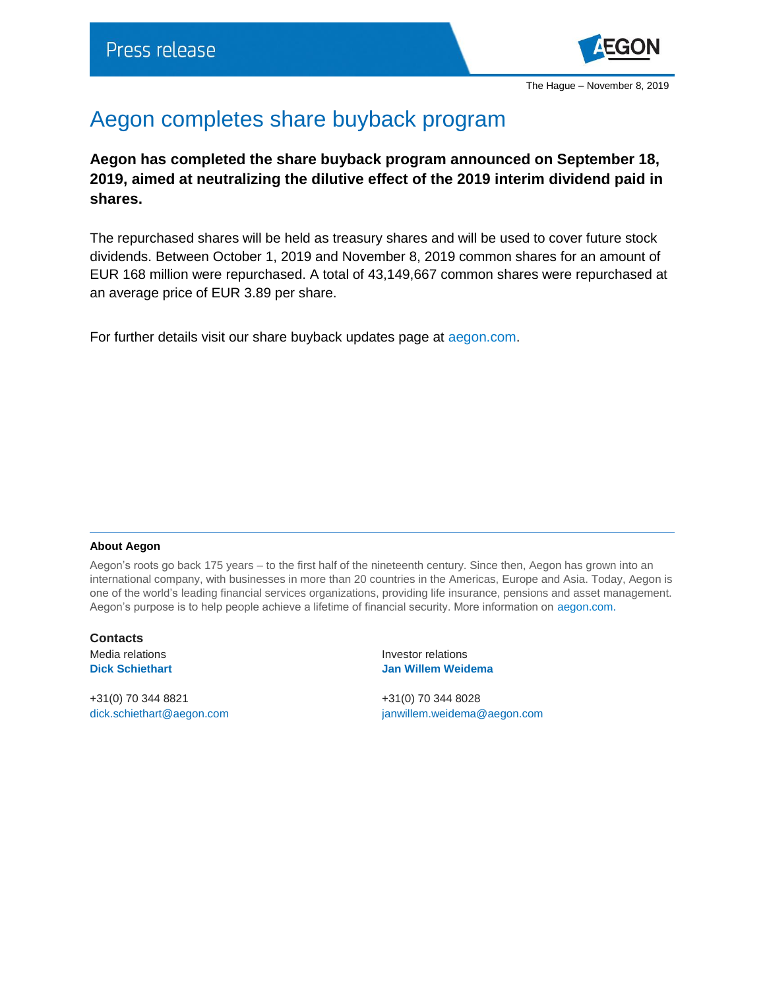

## Aegon completes share buyback program

**Aegon has completed the share buyback program announced on September 18, 2019, aimed at neutralizing the dilutive effect of the 2019 interim dividend paid in shares.**

The repurchased shares will be held as treasury shares and will be used to cover future stock dividends. Between October 1, 2019 and November 8, 2019 common shares for an amount of EUR 168 million were repurchased. A total of 43,149,667 common shares were repurchased at an average price of EUR 3.89 per share.

For further details visit our share buyback updates page at [aegon.com.](https://www.aegon.com/investors/shareholders/share-buyback-program/)

## **About Aegon**

Aegon's roots go back 175 years – to the first half of the nineteenth century. Since then, Aegon has grown into an international company, with businesses in more than 20 countries in the Americas, Europe and Asia. Today, Aegon is one of the world's leading financial services organizations, providing life insurance, pensions and asset management. Aegon's purpose is to help people achieve a lifetime of financial security. More information on [aegon.com.](http://www.aegon.com/about)

**Contacts** Media relations **Investor relations** 

+31(0) 70 344 8821 +31(0) 70 344 8028

**Dick Schiethart Jan Willem Weidema**

[dick.schiethart@aegon.com](mailto:dick.schiethart@aegon.com) [janwillem.weidema@aegon.com](mailto:janwillem.weidema@aegon.com)